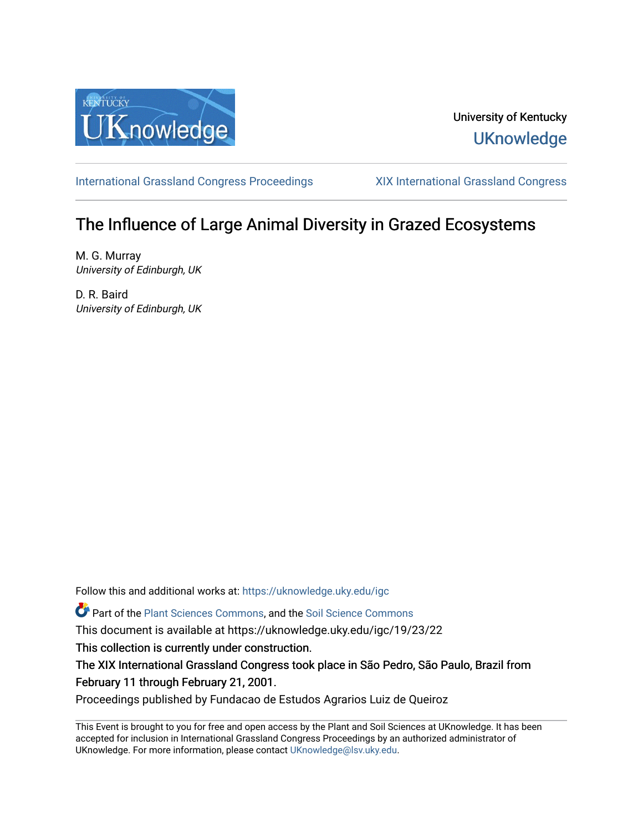

## University of Kentucky **UKnowledge**

[International Grassland Congress Proceedings](https://uknowledge.uky.edu/igc) [XIX International Grassland Congress](https://uknowledge.uky.edu/igc/19) 

# The Influence of Large Animal Diversity in Grazed Ecosystems

M. G. Murray University of Edinburgh, UK

D. R. Baird University of Edinburgh, UK

Follow this and additional works at: [https://uknowledge.uky.edu/igc](https://uknowledge.uky.edu/igc?utm_source=uknowledge.uky.edu%2Figc%2F19%2F23%2F22&utm_medium=PDF&utm_campaign=PDFCoverPages) 

Part of the [Plant Sciences Commons](http://network.bepress.com/hgg/discipline/102?utm_source=uknowledge.uky.edu%2Figc%2F19%2F23%2F22&utm_medium=PDF&utm_campaign=PDFCoverPages), and the [Soil Science Commons](http://network.bepress.com/hgg/discipline/163?utm_source=uknowledge.uky.edu%2Figc%2F19%2F23%2F22&utm_medium=PDF&utm_campaign=PDFCoverPages) 

This document is available at https://uknowledge.uky.edu/igc/19/23/22

This collection is currently under construction.

The XIX International Grassland Congress took place in São Pedro, São Paulo, Brazil from February 11 through February 21, 2001.

Proceedings published by Fundacao de Estudos Agrarios Luiz de Queiroz

This Event is brought to you for free and open access by the Plant and Soil Sciences at UKnowledge. It has been accepted for inclusion in International Grassland Congress Proceedings by an authorized administrator of UKnowledge. For more information, please contact [UKnowledge@lsv.uky.edu](mailto:UKnowledge@lsv.uky.edu).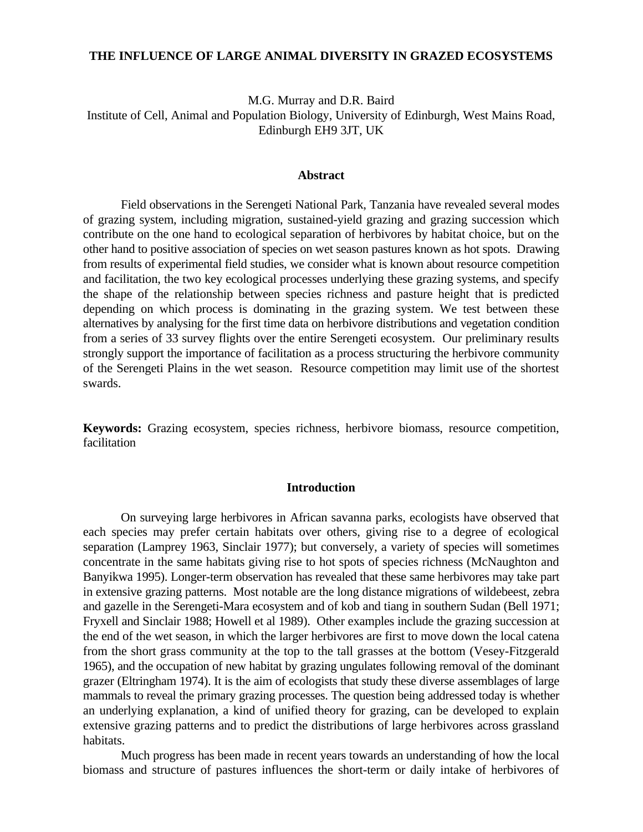#### **THE INFLUENCE OF LARGE ANIMAL DIVERSITY IN GRAZED ECOSYSTEMS**

M.G. Murray and D.R. Baird Institute of Cell, Animal and Population Biology, University of Edinburgh, West Mains Road, Edinburgh EH9 3JT, UK

#### **Abstract**

Field observations in the Serengeti National Park, Tanzania have revealed several modes of grazing system, including migration, sustained-yield grazing and grazing succession which contribute on the one hand to ecological separation of herbivores by habitat choice, but on the other hand to positive association of species on wet season pastures known as hot spots. Drawing from results of experimental field studies, we consider what is known about resource competition and facilitation, the two key ecological processes underlying these grazing systems, and specify the shape of the relationship between species richness and pasture height that is predicted depending on which process is dominating in the grazing system. We test between these alternatives by analysing for the first time data on herbivore distributions and vegetation condition from a series of 33 survey flights over the entire Serengeti ecosystem. Our preliminary results strongly support the importance of facilitation as a process structuring the herbivore community of the Serengeti Plains in the wet season. Resource competition may limit use of the shortest swards.

**Keywords:** Grazing ecosystem, species richness, herbivore biomass, resource competition, facilitation

#### **Introduction**

On surveying large herbivores in African savanna parks, ecologists have observed that each species may prefer certain habitats over others, giving rise to a degree of ecological separation (Lamprey 1963, Sinclair 1977); but conversely, a variety of species will sometimes concentrate in the same habitats giving rise to hot spots of species richness (McNaughton and Banyikwa 1995). Longer-term observation has revealed that these same herbivores may take part in extensive grazing patterns. Most notable are the long distance migrations of wildebeest, zebra and gazelle in the Serengeti-Mara ecosystem and of kob and tiang in southern Sudan (Bell 1971; Fryxell and Sinclair 1988; Howell et al 1989). Other examples include the grazing succession at the end of the wet season, in which the larger herbivores are first to move down the local catena from the short grass community at the top to the tall grasses at the bottom (Vesey-Fitzgerald 1965), and the occupation of new habitat by grazing ungulates following removal of the dominant grazer (Eltringham 1974). It is the aim of ecologists that study these diverse assemblages of large mammals to reveal the primary grazing processes. The question being addressed today is whether an underlying explanation, a kind of unified theory for grazing, can be developed to explain extensive grazing patterns and to predict the distributions of large herbivores across grassland habitats.

Much progress has been made in recent years towards an understanding of how the local biomass and structure of pastures influences the short-term or daily intake of herbivores of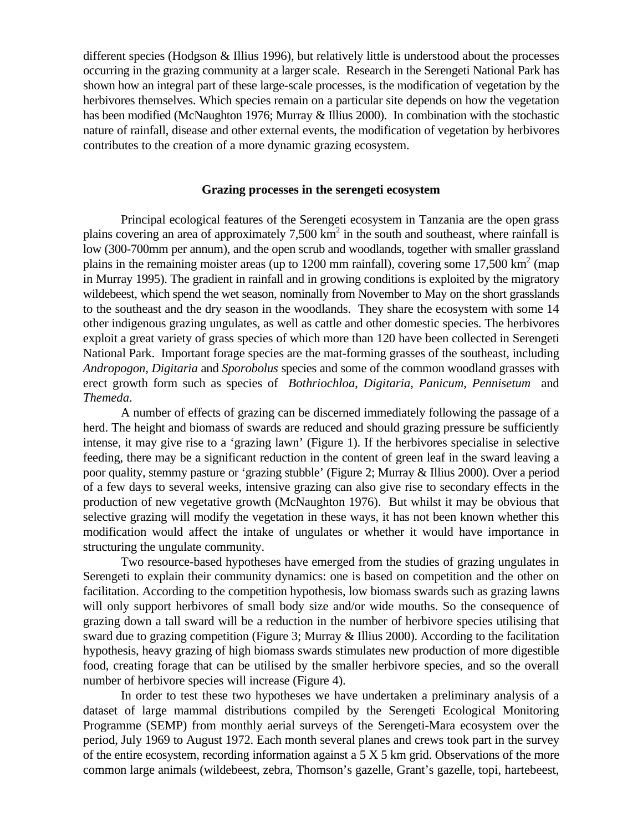different species (Hodgson & Illius 1996), but relatively little is understood about the processes occurring in the grazing community at a larger scale. Research in the Serengeti National Park has shown how an integral part of these large-scale processes, is the modification of vegetation by the herbivores themselves. Which species remain on a particular site depends on how the vegetation has been modified (McNaughton 1976; Murray & Illius 2000). In combination with the stochastic nature of rainfall, disease and other external events, the modification of vegetation by herbivores contributes to the creation of a more dynamic grazing ecosystem.

#### **Grazing processes in the serengeti ecosystem**

Principal ecological features of the Serengeti ecosystem in Tanzania are the open grass plains covering an area of approximately 7,500  $km^2$  in the south and southeast, where rainfall is low (300-700mm per annum), and the open scrub and woodlands, together with smaller grassland plains in the remaining moister areas (up to 1200 mm rainfall), covering some 17,500 km<sup>2</sup> (map in Murray 1995). The gradient in rainfall and in growing conditions is exploited by the migratory wildebeest, which spend the wet season, nominally from November to May on the short grasslands to the southeast and the dry season in the woodlands. They share the ecosystem with some 14 other indigenous grazing ungulates, as well as cattle and other domestic species. The herbivores exploit a great variety of grass species of which more than 120 have been collected in Serengeti National Park. Important forage species are the mat-forming grasses of the southeast, including *Andropogon*, *Digitaria* and *Sporobolus* species and some of the common woodland grasses with erect growth form such as species of *Bothriochloa*, *Digitaria*, *Panicum*, *Pennisetum* and *Themeda*.

A number of effects of grazing can be discerned immediately following the passage of a herd. The height and biomass of swards are reduced and should grazing pressure be sufficiently intense, it may give rise to a 'grazing lawn' (Figure 1). If the herbivores specialise in selective feeding, there may be a significant reduction in the content of green leaf in the sward leaving a poor quality, stemmy pasture or 'grazing stubble' (Figure 2; Murray & Illius 2000). Over a period of a few days to several weeks, intensive grazing can also give rise to secondary effects in the production of new vegetative growth (McNaughton 1976). But whilst it may be obvious that selective grazing will modify the vegetation in these ways, it has not been known whether this modification would affect the intake of ungulates or whether it would have importance in structuring the ungulate community.

Two resource-based hypotheses have emerged from the studies of grazing ungulates in Serengeti to explain their community dynamics: one is based on competition and the other on facilitation. According to the competition hypothesis, low biomass swards such as grazing lawns will only support herbivores of small body size and/or wide mouths. So the consequence of grazing down a tall sward will be a reduction in the number of herbivore species utilising that sward due to grazing competition (Figure 3; Murray & Illius 2000). According to the facilitation hypothesis, heavy grazing of high biomass swards stimulates new production of more digestible food, creating forage that can be utilised by the smaller herbivore species, and so the overall number of herbivore species will increase (Figure 4).

In order to test these two hypotheses we have undertaken a preliminary analysis of a dataset of large mammal distributions compiled by the Serengeti Ecological Monitoring Programme (SEMP) from monthly aerial surveys of the Serengeti-Mara ecosystem over the period, July 1969 to August 1972. Each month several planes and crews took part in the survey of the entire ecosystem, recording information against a 5 X 5 km grid. Observations of the more common large animals (wildebeest, zebra, Thomson's gazelle, Grant's gazelle, topi, hartebeest,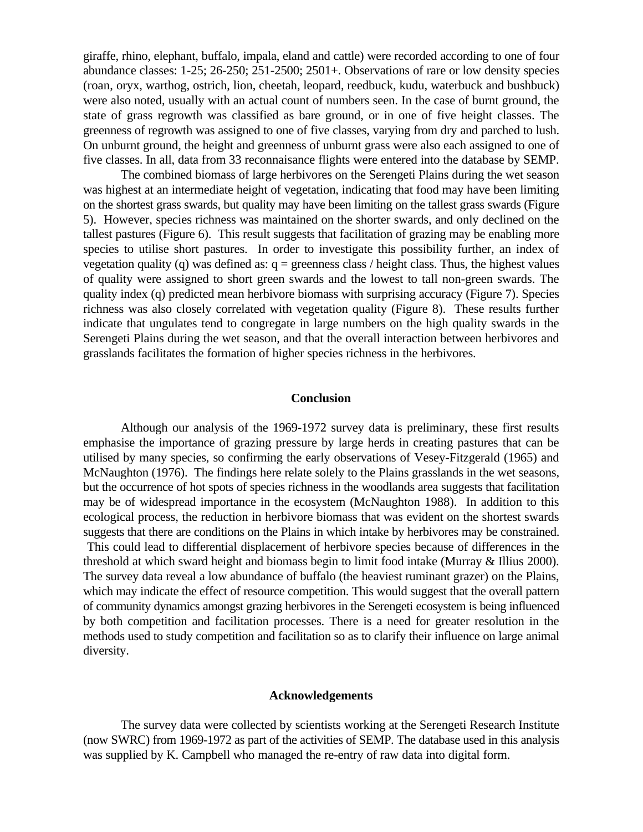giraffe, rhino, elephant, buffalo, impala, eland and cattle) were recorded according to one of four abundance classes: 1-25; 26-250; 251-2500; 2501+. Observations of rare or low density species (roan, oryx, warthog, ostrich, lion, cheetah, leopard, reedbuck, kudu, waterbuck and bushbuck) were also noted, usually with an actual count of numbers seen. In the case of burnt ground, the state of grass regrowth was classified as bare ground, or in one of five height classes. The greenness of regrowth was assigned to one of five classes, varying from dry and parched to lush. On unburnt ground, the height and greenness of unburnt grass were also each assigned to one of five classes. In all, data from 33 reconnaisance flights were entered into the database by SEMP.

The combined biomass of large herbivores on the Serengeti Plains during the wet season was highest at an intermediate height of vegetation, indicating that food may have been limiting on the shortest grass swards, but quality may have been limiting on the tallest grass swards (Figure 5). However, species richness was maintained on the shorter swards, and only declined on the tallest pastures (Figure 6). This result suggests that facilitation of grazing may be enabling more species to utilise short pastures. In order to investigate this possibility further, an index of vegetation quality (q) was defined as:  $q =$  greenness class / height class. Thus, the highest values of quality were assigned to short green swards and the lowest to tall non-green swards. The quality index (q) predicted mean herbivore biomass with surprising accuracy (Figure 7). Species richness was also closely correlated with vegetation quality (Figure 8). These results further indicate that ungulates tend to congregate in large numbers on the high quality swards in the Serengeti Plains during the wet season, and that the overall interaction between herbivores and grasslands facilitates the formation of higher species richness in the herbivores.

#### **Conclusion**

Although our analysis of the 1969-1972 survey data is preliminary, these first results emphasise the importance of grazing pressure by large herds in creating pastures that can be utilised by many species, so confirming the early observations of Vesey-Fitzgerald (1965) and McNaughton (1976). The findings here relate solely to the Plains grasslands in the wet seasons, but the occurrence of hot spots of species richness in the woodlands area suggests that facilitation may be of widespread importance in the ecosystem (McNaughton 1988). In addition to this ecological process, the reduction in herbivore biomass that was evident on the shortest swards suggests that there are conditions on the Plains in which intake by herbivores may be constrained. This could lead to differential displacement of herbivore species because of differences in the threshold at which sward height and biomass begin to limit food intake (Murray & Illius 2000). The survey data reveal a low abundance of buffalo (the heaviest ruminant grazer) on the Plains, which may indicate the effect of resource competition. This would suggest that the overall pattern of community dynamics amongst grazing herbivores in the Serengeti ecosystem is being influenced by both competition and facilitation processes. There is a need for greater resolution in the methods used to study competition and facilitation so as to clarify their influence on large animal diversity.

#### **Acknowledgements**

The survey data were collected by scientists working at the Serengeti Research Institute (now SWRC) from 1969-1972 as part of the activities of SEMP. The database used in this analysis was supplied by K. Campbell who managed the re-entry of raw data into digital form.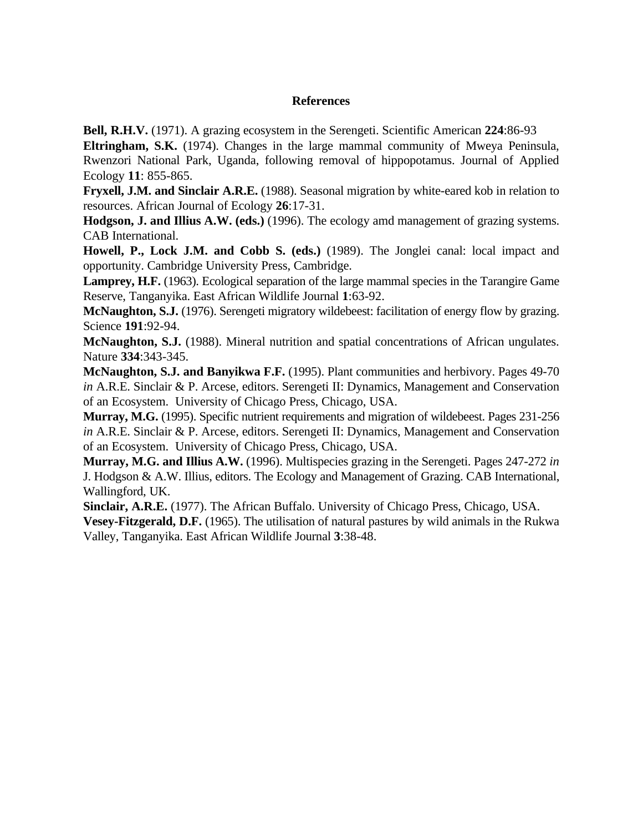### **References**

**Bell, R.H.V.** (1971). A grazing ecosystem in the Serengeti. Scientific American **224**:86-93

**Eltringham, S.K.** (1974). Changes in the large mammal community of Mweya Peninsula, Rwenzori National Park, Uganda, following removal of hippopotamus. Journal of Applied Ecology **11**: 855-865.

**Fryxell, J.M. and Sinclair A.R.E.** (1988). Seasonal migration by white-eared kob in relation to resources. African Journal of Ecology **26**:17-31.

**Hodgson, J. and Illius A.W. (eds.)** (1996). The ecology amd management of grazing systems. CAB International.

**Howell, P., Lock J.M. and Cobb S. (eds.)** (1989). The Jonglei canal: local impact and opportunity. Cambridge University Press, Cambridge.

Lamprey, H.F. (1963). Ecological separation of the large mammal species in the Tarangire Game Reserve, Tanganyika. East African Wildlife Journal **1**:63-92.

**McNaughton, S.J.** (1976). Serengeti migratory wildebeest: facilitation of energy flow by grazing. Science **191**:92-94.

**McNaughton, S.J.** (1988). Mineral nutrition and spatial concentrations of African ungulates. Nature **334**:343-345.

**McNaughton, S.J. and Banyikwa F.F.** (1995). Plant communities and herbivory. Pages 49-70 *in* A.R.E. Sinclair & P. Arcese, editors. Serengeti II: Dynamics, Management and Conservation of an Ecosystem. University of Chicago Press, Chicago, USA.

**Murray, M.G.** (1995). Specific nutrient requirements and migration of wildebeest. Pages 231-256 *in* A.R.E. Sinclair & P. Arcese, editors. Serengeti II: Dynamics, Management and Conservation of an Ecosystem. University of Chicago Press, Chicago, USA.

**Murray, M.G. and Illius A.W.** (1996). Multispecies grazing in the Serengeti. Pages 247-272 *in* J. Hodgson & A.W. Illius, editors. The Ecology and Management of Grazing. CAB International, Wallingford, UK.

**Sinclair, A.R.E.** (1977). The African Buffalo. University of Chicago Press, Chicago, USA.

**Vesey-Fitzgerald, D.F.** (1965). The utilisation of natural pastures by wild animals in the Rukwa Valley, Tanganyika. East African Wildlife Journal **3**:38-48.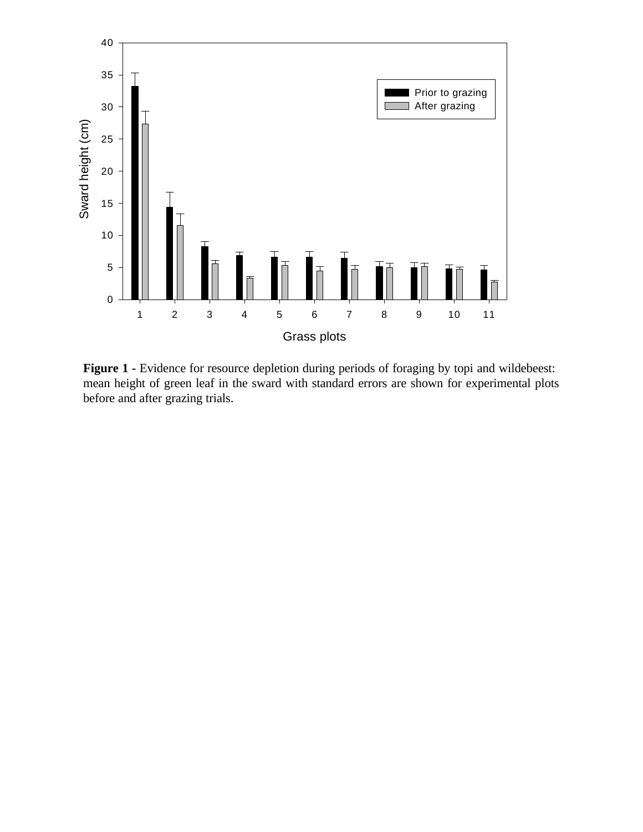

Figure 1 - Evidence for resource depletion during periods of foraging by topi and wildebeest: mean height of green leaf in the sward with standard errors are shown for experimental plots before and after grazing trials.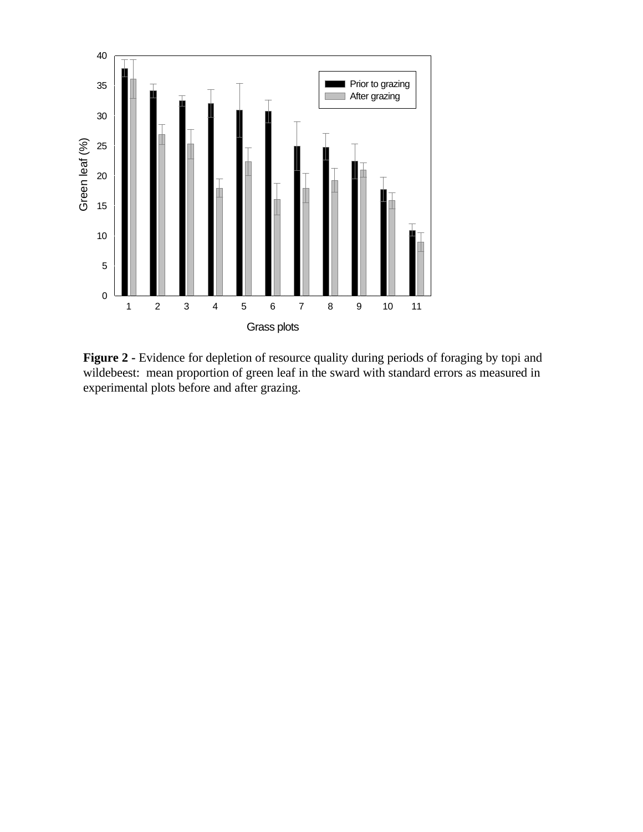

**Figure 2 -** Evidence for depletion of resource quality during periods of foraging by topi and wildebeest: mean proportion of green leaf in the sward with standard errors as measured in experimental plots before and after grazing.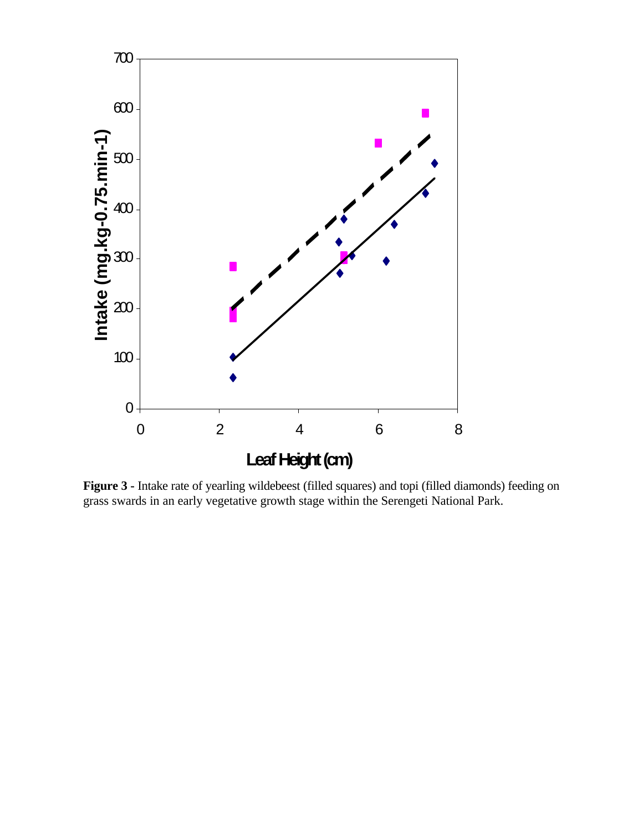

**Figure 3 -** Intake rate of yearling wildebeest (filled squares) and topi (filled diamonds) feeding on grass swards in an early vegetative growth stage within the Serengeti National Park.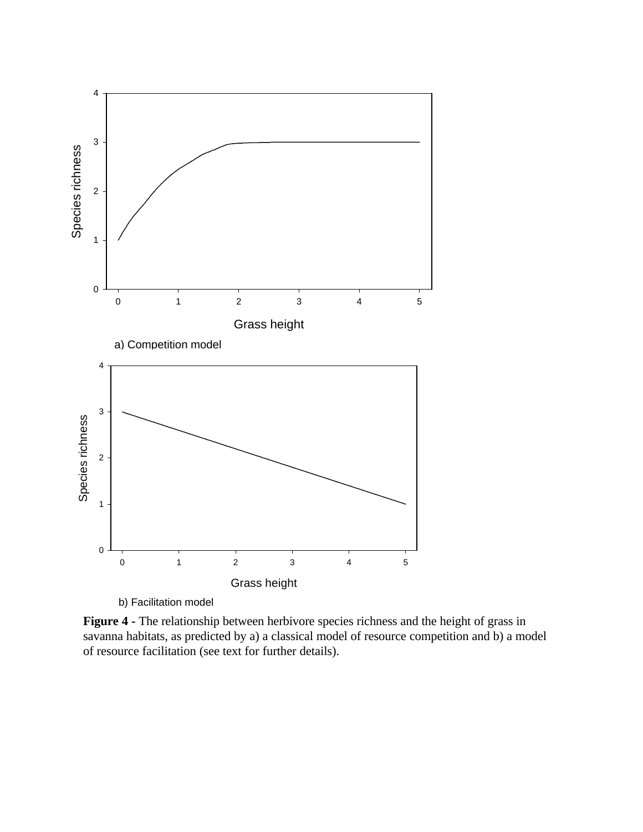

**Figure 4 -** The relationship between herbivore species richness and the height of grass in savanna habitats, as predicted by a) a classical model of resource competition and b) a model of resource facilitation (see text for further details).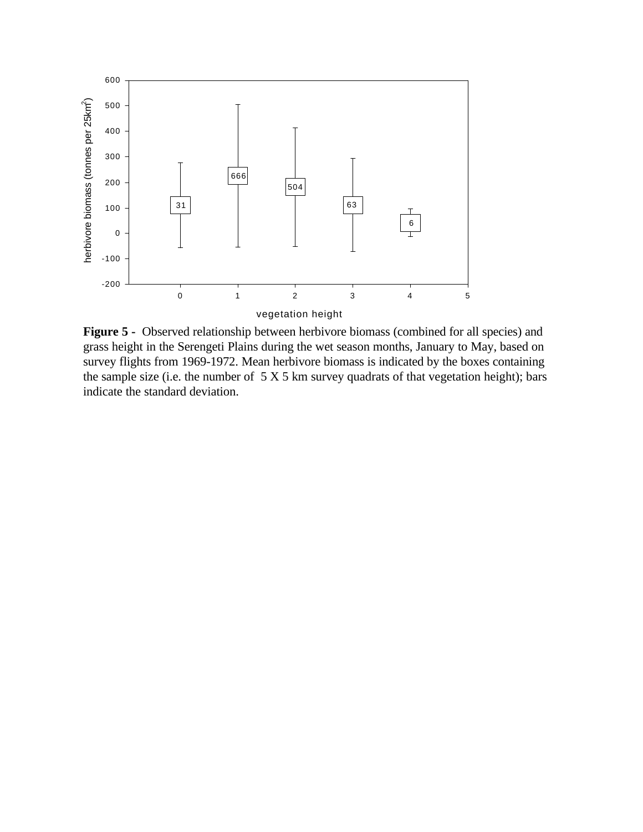

**Figure 5 -** Observed relationship between herbivore biomass (combined for all species) and grass height in the Serengeti Plains during the wet season months, January to May, based on survey flights from 1969-1972. Mean herbivore biomass is indicated by the boxes containing the sample size (i.e. the number of  $5 X 5 km$  survey quadrats of that vegetation height); bars indicate the standard deviation.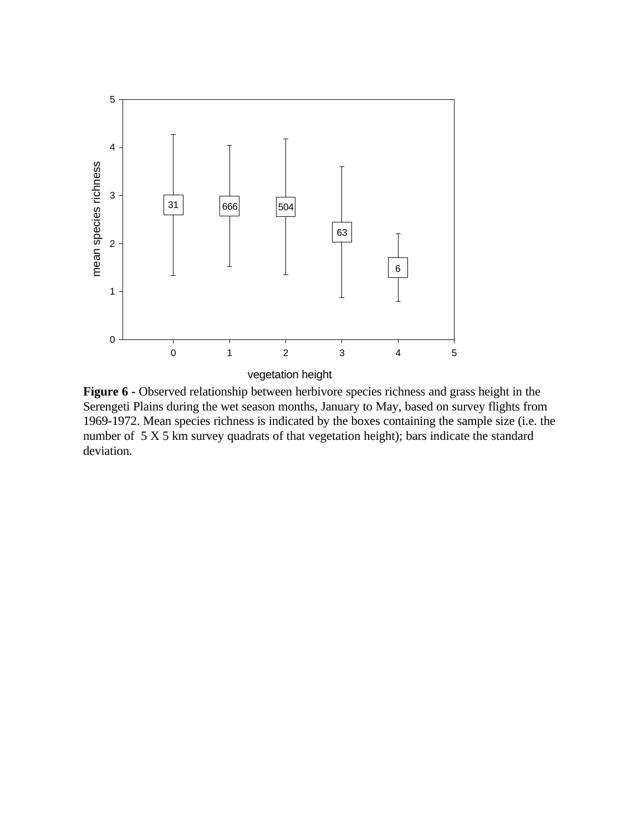

**Figure 6 -** Observed relationship between herbivore species richness and grass height in the Serengeti Plains during the wet season months, January to May, based on survey flights from 1969-1972. Mean species richness is indicated by the boxes containing the sample size (i.e. the number of 5 X 5 km survey quadrats of that vegetation height); bars indicate the standard deviation.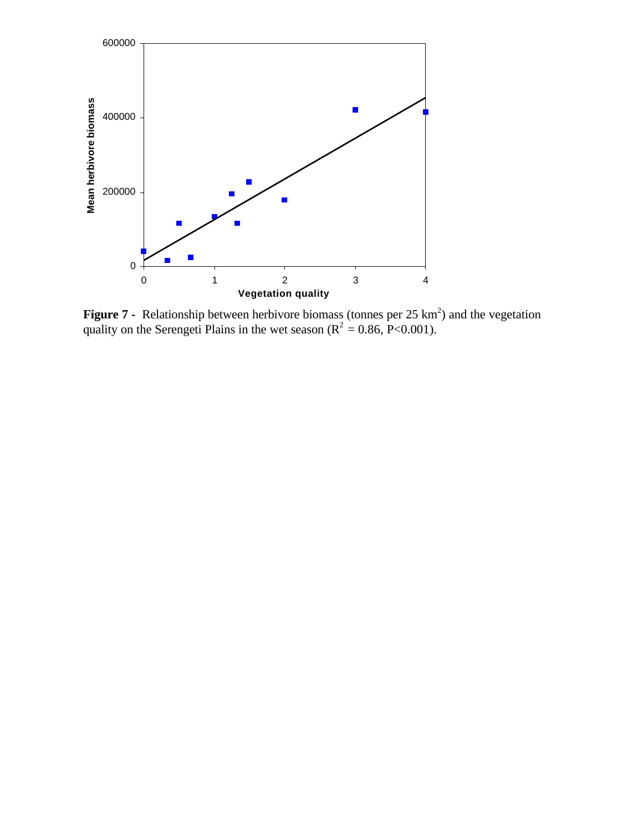

**Figure 7** - Relationship between herbivore biomass (tonnes per 25 km<sup>2</sup>) and the vegetation quality on the Serengeti Plains in the wet season ( $R^2 = 0.86$ , P<0.001).